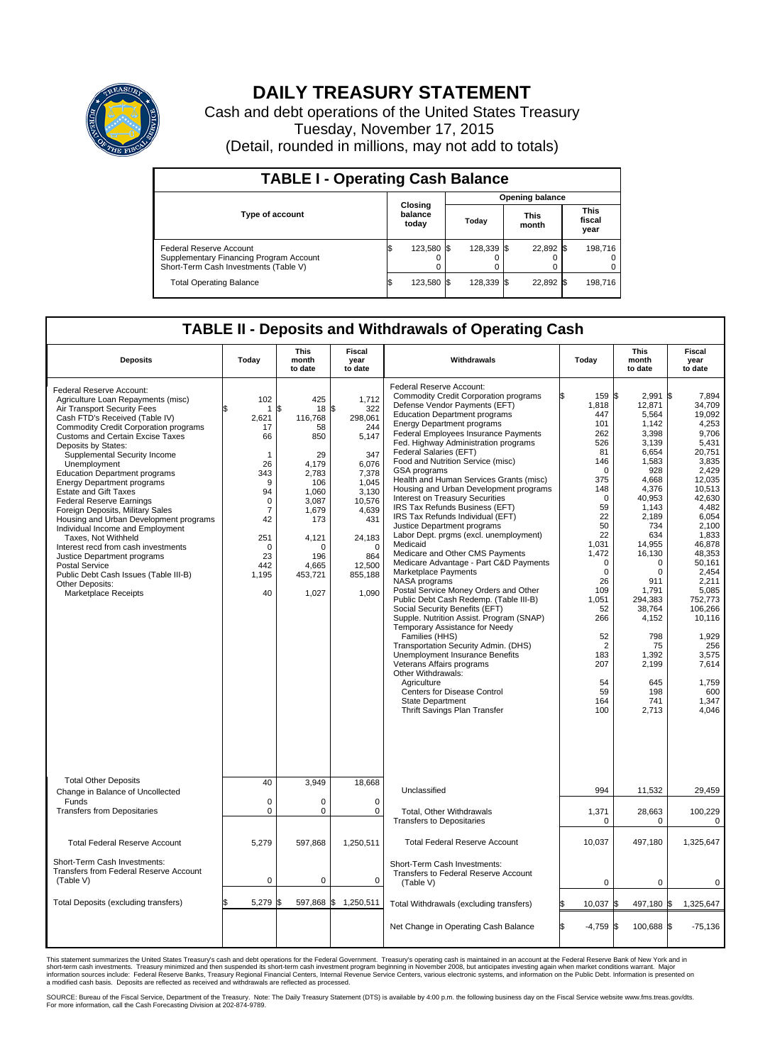

## **DAILY TREASURY STATEMENT**

Cash and debt operations of the United States Treasury Tuesday, November 17, 2015 (Detail, rounded in millions, may not add to totals)

| <b>TABLE I - Operating Cash Balance</b>                                                                     |    |                             |  |                        |  |                      |  |                               |  |  |  |
|-------------------------------------------------------------------------------------------------------------|----|-----------------------------|--|------------------------|--|----------------------|--|-------------------------------|--|--|--|
|                                                                                                             |    |                             |  | <b>Opening balance</b> |  |                      |  |                               |  |  |  |
| <b>Type of account</b>                                                                                      |    | Closing<br>balance<br>today |  | Today                  |  | <b>This</b><br>month |  | <b>This</b><br>fiscal<br>year |  |  |  |
| Federal Reserve Account<br>Supplementary Financing Program Account<br>Short-Term Cash Investments (Table V) |    | 123,580 \$                  |  | 128.339 \$             |  | 22.892 \$            |  | 198.716                       |  |  |  |
| <b>Total Operating Balance</b>                                                                              | ß. | 123,580 \$                  |  | 128.339 \$             |  | 22,892 \$            |  | 198.716                       |  |  |  |

## **TABLE II - Deposits and Withdrawals of Operating Cash**

| <b>Deposits</b>                                                                                                                                                                                                                                                                                                                                                                                                                                                                                                                                                                                                                                                                                                                                                               | Today                                                                                                                                                       | <b>This</b><br>month<br>to date                                                                                                                                   | <b>Fiscal</b><br>year<br>to date                                                                                                                                              | Withdrawals                                                                                                                                                                                                                                                                                                                                                                                                                                                                                                                                                                                                                                                                                                                                                                                                                                                                                                                                                                                                                                                                                                                                                                                                                       | Today                                                                                                                                                                                                                                                                        | <b>This</b><br>month<br>to date                                                                                                                                                                                                                                                          | Fiscal<br>year<br>to date                                                                                                                                                                                                                                                                                              |
|-------------------------------------------------------------------------------------------------------------------------------------------------------------------------------------------------------------------------------------------------------------------------------------------------------------------------------------------------------------------------------------------------------------------------------------------------------------------------------------------------------------------------------------------------------------------------------------------------------------------------------------------------------------------------------------------------------------------------------------------------------------------------------|-------------------------------------------------------------------------------------------------------------------------------------------------------------|-------------------------------------------------------------------------------------------------------------------------------------------------------------------|-------------------------------------------------------------------------------------------------------------------------------------------------------------------------------|-----------------------------------------------------------------------------------------------------------------------------------------------------------------------------------------------------------------------------------------------------------------------------------------------------------------------------------------------------------------------------------------------------------------------------------------------------------------------------------------------------------------------------------------------------------------------------------------------------------------------------------------------------------------------------------------------------------------------------------------------------------------------------------------------------------------------------------------------------------------------------------------------------------------------------------------------------------------------------------------------------------------------------------------------------------------------------------------------------------------------------------------------------------------------------------------------------------------------------------|------------------------------------------------------------------------------------------------------------------------------------------------------------------------------------------------------------------------------------------------------------------------------|------------------------------------------------------------------------------------------------------------------------------------------------------------------------------------------------------------------------------------------------------------------------------------------|------------------------------------------------------------------------------------------------------------------------------------------------------------------------------------------------------------------------------------------------------------------------------------------------------------------------|
| Federal Reserve Account:<br>Agriculture Loan Repayments (misc)<br>Air Transport Security Fees<br>Cash FTD's Received (Table IV)<br><b>Commodity Credit Corporation programs</b><br>Customs and Certain Excise Taxes<br>Deposits by States:<br>Supplemental Security Income<br>Unemployment<br><b>Education Department programs</b><br><b>Energy Department programs</b><br><b>Estate and Gift Taxes</b><br><b>Federal Reserve Earnings</b><br>Foreign Deposits, Military Sales<br>Housing and Urban Development programs<br>Individual Income and Employment<br>Taxes, Not Withheld<br>Interest recd from cash investments<br>Justice Department programs<br><b>Postal Service</b><br>Public Debt Cash Issues (Table III-B)<br>Other Deposits:<br><b>Marketplace Receipts</b> | 102<br>1<br>2,621<br>17<br>66<br>$\mathbf{1}$<br>26<br>343<br>9<br>94<br>$\mathbf 0$<br>$\overline{7}$<br>42<br>251<br>$\Omega$<br>23<br>442<br>1,195<br>40 | 425<br>18<br>\$<br>116,768<br>58<br>850<br>29<br>4,179<br>2,783<br>106<br>1.060<br>3,087<br>1,679<br>173<br>4,121<br>$\Omega$<br>196<br>4,665<br>453,721<br>1,027 | 1,712<br>\$<br>322<br>298,061<br>244<br>5,147<br>347<br>6,076<br>7,378<br>1,045<br>3.130<br>10,576<br>4,639<br>431<br>24,183<br>$\Omega$<br>864<br>12,500<br>855,188<br>1,090 | Federal Reserve Account:<br><b>Commodity Credit Corporation programs</b><br>Defense Vendor Payments (EFT)<br><b>Education Department programs</b><br><b>Energy Department programs</b><br><b>Federal Employees Insurance Payments</b><br>Fed. Highway Administration programs<br>Federal Salaries (EFT)<br>Food and Nutrition Service (misc)<br>GSA programs<br>Health and Human Services Grants (misc)<br>Housing and Urban Development programs<br>Interest on Treasury Securities<br>IRS Tax Refunds Business (EFT)<br>IRS Tax Refunds Individual (EFT)<br>Justice Department programs<br>Labor Dept. prgms (excl. unemployment)<br>Medicaid<br>Medicare and Other CMS Payments<br>Medicare Advantage - Part C&D Payments<br>Marketplace Payments<br>NASA programs<br>Postal Service Money Orders and Other<br>Public Debt Cash Redemp. (Table III-B)<br>Social Security Benefits (EFT)<br>Supple. Nutrition Assist. Program (SNAP)<br>Temporary Assistance for Needy<br>Families (HHS)<br>Transportation Security Admin. (DHS)<br>Unemployment Insurance Benefits<br>Veterans Affairs programs<br>Other Withdrawals:<br>Agriculture<br>Centers for Disease Control<br><b>State Department</b><br>Thrift Savings Plan Transfer | 159 \$<br>1,818<br>447<br>101<br>262<br>526<br>81<br>146<br>$\Omega$<br>375<br>148<br>$\mathbf 0$<br>59<br>22<br>50<br>22<br>1,031<br>1,472<br>$\mathbf 0$<br>$\mathbf 0$<br>26<br>109<br>1,051<br>52<br>266<br>52<br>$\overline{2}$<br>183<br>207<br>54<br>59<br>164<br>100 | 2,991<br>12,871<br>5,564<br>1,142<br>3.398<br>3,139<br>6,654<br>1,583<br>928<br>4,668<br>4,376<br>40.953<br>1,143<br>2,189<br>734<br>634<br>14,955<br>16,130<br>$\Omega$<br>0<br>911<br>1,791<br>294,383<br>38,764<br>4,152<br>798<br>75<br>1,392<br>2,199<br>645<br>198<br>741<br>2,713 | l\$<br>7.894<br>34,709<br>19,092<br>4,253<br>9.706<br>5,431<br>20,751<br>3,835<br>2.429<br>12,035<br>10,513<br>42.630<br>4,482<br>6,054<br>2,100<br>1,833<br>46,878<br>48,353<br>50.161<br>2,454<br>2.211<br>5,085<br>752,773<br>106,266<br>10,116<br>1,929<br>256<br>3,575<br>7,614<br>1,759<br>600<br>1,347<br>4,046 |
| <b>Total Other Deposits</b><br>Change in Balance of Uncollected                                                                                                                                                                                                                                                                                                                                                                                                                                                                                                                                                                                                                                                                                                               | 40                                                                                                                                                          | 3,949                                                                                                                                                             | 18,668                                                                                                                                                                        | Unclassified                                                                                                                                                                                                                                                                                                                                                                                                                                                                                                                                                                                                                                                                                                                                                                                                                                                                                                                                                                                                                                                                                                                                                                                                                      | 994                                                                                                                                                                                                                                                                          | 11,532                                                                                                                                                                                                                                                                                   | 29,459                                                                                                                                                                                                                                                                                                                 |
| Funds<br><b>Transfers from Depositaries</b>                                                                                                                                                                                                                                                                                                                                                                                                                                                                                                                                                                                                                                                                                                                                   | $\mathbf 0$<br>$\mathbf 0$                                                                                                                                  | 0<br>0                                                                                                                                                            | $\mathbf 0$<br>$\mathbf 0$                                                                                                                                                    | Total, Other Withdrawals<br><b>Transfers to Depositaries</b>                                                                                                                                                                                                                                                                                                                                                                                                                                                                                                                                                                                                                                                                                                                                                                                                                                                                                                                                                                                                                                                                                                                                                                      | 1,371<br>0                                                                                                                                                                                                                                                                   | 28,663<br>$\Omega$                                                                                                                                                                                                                                                                       | 100,229<br>0                                                                                                                                                                                                                                                                                                           |
| <b>Total Federal Reserve Account</b>                                                                                                                                                                                                                                                                                                                                                                                                                                                                                                                                                                                                                                                                                                                                          | 5.279                                                                                                                                                       | 597.868                                                                                                                                                           | 1,250,511                                                                                                                                                                     | <b>Total Federal Reserve Account</b>                                                                                                                                                                                                                                                                                                                                                                                                                                                                                                                                                                                                                                                                                                                                                                                                                                                                                                                                                                                                                                                                                                                                                                                              | 10,037                                                                                                                                                                                                                                                                       | 497.180                                                                                                                                                                                                                                                                                  | 1,325,647                                                                                                                                                                                                                                                                                                              |
| Short-Term Cash Investments:<br><b>Transfers from Federal Reserve Account</b><br>(Table V)                                                                                                                                                                                                                                                                                                                                                                                                                                                                                                                                                                                                                                                                                    | $\pmb{0}$                                                                                                                                                   | 0                                                                                                                                                                 | 0                                                                                                                                                                             | Short-Term Cash Investments:<br>Transfers to Federal Reserve Account<br>(Table V)                                                                                                                                                                                                                                                                                                                                                                                                                                                                                                                                                                                                                                                                                                                                                                                                                                                                                                                                                                                                                                                                                                                                                 | 0                                                                                                                                                                                                                                                                            | 0                                                                                                                                                                                                                                                                                        | 0                                                                                                                                                                                                                                                                                                                      |
| Total Deposits (excluding transfers)                                                                                                                                                                                                                                                                                                                                                                                                                                                                                                                                                                                                                                                                                                                                          | 5,279                                                                                                                                                       | 597,868                                                                                                                                                           | \$<br>1,250,511                                                                                                                                                               | Total Withdrawals (excluding transfers)                                                                                                                                                                                                                                                                                                                                                                                                                                                                                                                                                                                                                                                                                                                                                                                                                                                                                                                                                                                                                                                                                                                                                                                           | 10,037 \$                                                                                                                                                                                                                                                                    | 497,180 \$                                                                                                                                                                                                                                                                               | 1,325,647                                                                                                                                                                                                                                                                                                              |
|                                                                                                                                                                                                                                                                                                                                                                                                                                                                                                                                                                                                                                                                                                                                                                               |                                                                                                                                                             |                                                                                                                                                                   |                                                                                                                                                                               | Net Change in Operating Cash Balance                                                                                                                                                                                                                                                                                                                                                                                                                                                                                                                                                                                                                                                                                                                                                                                                                                                                                                                                                                                                                                                                                                                                                                                              | $-4,759$ \$                                                                                                                                                                                                                                                                  | 100,688 \$                                                                                                                                                                                                                                                                               | $-75,136$                                                                                                                                                                                                                                                                                                              |

This statement summarizes the United States Treasury's cash and debt operations for the Federal Government. Treasury's operating cash is maintained in an account at the Federal Reserve Bank of New York and in<br>short-term ca

SOURCE: Bureau of the Fiscal Service, Department of the Treasury. Note: The Daily Treasury Statement (DTS) is available by 4:00 p.m. the following business day on the Fiscal Service website www.fms.treas.gov/dts.<br>For more